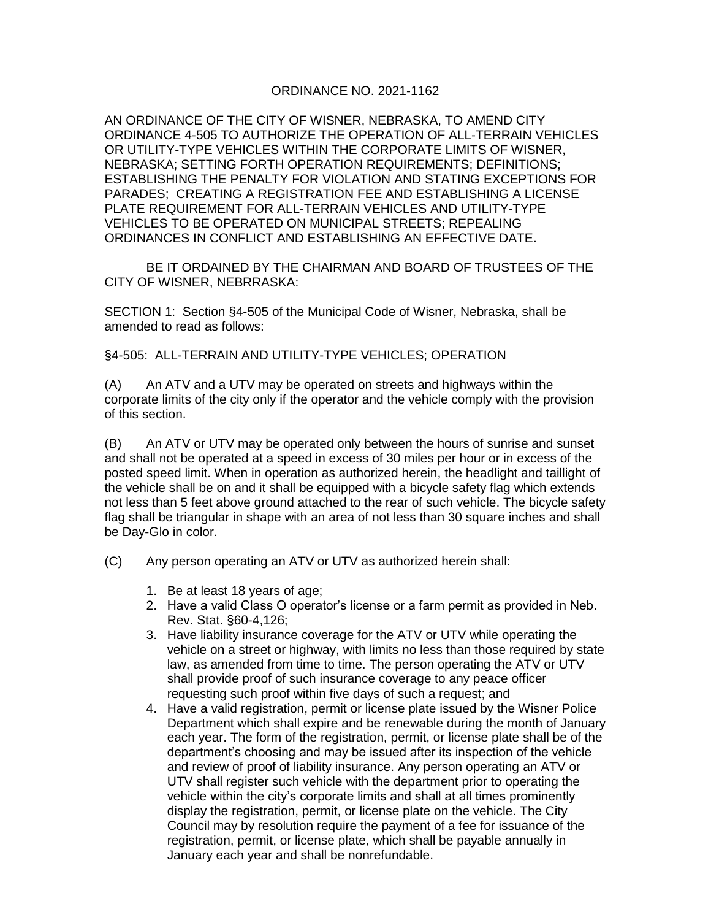## ORDINANCE NO. 2021-1162

AN ORDINANCE OF THE CITY OF WISNER, NEBRASKA, TO AMEND CITY ORDINANCE 4-505 TO AUTHORIZE THE OPERATION OF ALL-TERRAIN VEHICLES OR UTILITY-TYPE VEHICLES WITHIN THE CORPORATE LIMITS OF WISNER, NEBRASKA; SETTING FORTH OPERATION REQUIREMENTS; DEFINITIONS; ESTABLISHING THE PENALTY FOR VIOLATION AND STATING EXCEPTIONS FOR PARADES; CREATING A REGISTRATION FEE AND ESTABLISHING A LICENSE PLATE REQUIREMENT FOR ALL-TERRAIN VEHICLES AND UTILITY-TYPE VEHICLES TO BE OPERATED ON MUNICIPAL STREETS; REPEALING ORDINANCES IN CONFLICT AND ESTABLISHING AN EFFECTIVE DATE.

BE IT ORDAINED BY THE CHAIRMAN AND BOARD OF TRUSTEES OF THE CITY OF WISNER, NEBRRASKA:

SECTION 1: Section §4-505 of the Municipal Code of Wisner, Nebraska, shall be amended to read as follows:

§4-505: ALL-TERRAIN AND UTILITY-TYPE VEHICLES; OPERATION

(A) An ATV and a UTV may be operated on streets and highways within the corporate limits of the city only if the operator and the vehicle comply with the provision of this section.

(B) An ATV or UTV may be operated only between the hours of sunrise and sunset and shall not be operated at a speed in excess of 30 miles per hour or in excess of the posted speed limit. When in operation as authorized herein, the headlight and taillight of the vehicle shall be on and it shall be equipped with a bicycle safety flag which extends not less than 5 feet above ground attached to the rear of such vehicle. The bicycle safety flag shall be triangular in shape with an area of not less than 30 square inches and shall be Day-Glo in color.

- (C) Any person operating an ATV or UTV as authorized herein shall:
	- 1. Be at least 18 years of age;
	- 2. Have a valid Class O operator's license or a farm permit as provided in Neb. Rev. Stat. §60-4,126;
	- 3. Have liability insurance coverage for the ATV or UTV while operating the vehicle on a street or highway, with limits no less than those required by state law, as amended from time to time. The person operating the ATV or UTV shall provide proof of such insurance coverage to any peace officer requesting such proof within five days of such a request; and
	- 4. Have a valid registration, permit or license plate issued by the Wisner Police Department which shall expire and be renewable during the month of January each year. The form of the registration, permit, or license plate shall be of the department's choosing and may be issued after its inspection of the vehicle and review of proof of liability insurance. Any person operating an ATV or UTV shall register such vehicle with the department prior to operating the vehicle within the city's corporate limits and shall at all times prominently display the registration, permit, or license plate on the vehicle. The City Council may by resolution require the payment of a fee for issuance of the registration, permit, or license plate, which shall be payable annually in January each year and shall be nonrefundable.